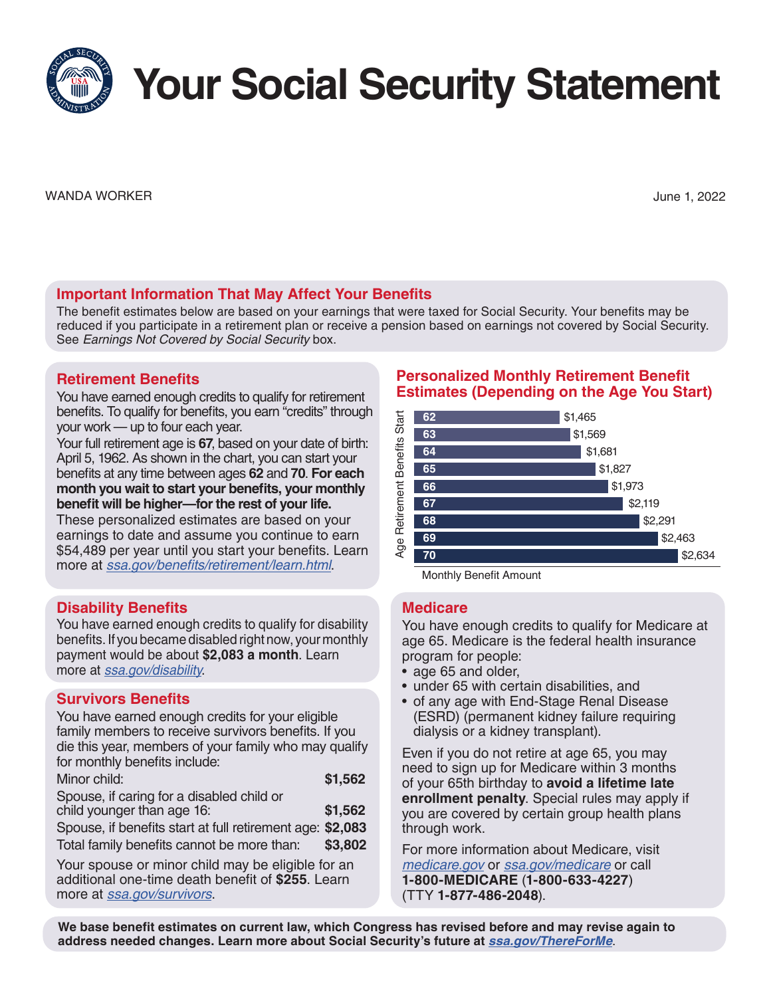**Your Social Security Statement**

WANDA WORKER June 1, 2022

# **Important Information That May Affect Your Benefits**

The benefit estimates below are based on your earnings that were taxed for Social Security. Your benefits may be reduced if you participate in a retirement plan or receive a pension based on earnings not covered by Social Security. See *Earnings Not Covered by Social Security* box.

## **Retirement Benefits**

You have earned enough credits to qualify for retirement benefits. To qualify for benefits, you earn "credits" through your work — up to four each year.

Your full retirement age is **67**, based on your date of birth: April 5, 1962. As shown in the chart, you can start your benefits at any time between ages **62** and **70**. **For each month you wait to start your benefits, your monthly benefit will be higher—for the rest of your life.**

These personalized estimates are based on your earnings to date and assume you continue to earn \$54,489 per year until you start your benefits. Learn more at [ssa.gov/benefits/retirement/learn.html](https://www.ssa.gov/benefits/retirement/learn.html).

# **Disability Benefits**

You have earned enough credits to qualify for disability benefits. If you became disabled right now, your monthly payment would be about **\$2,083 a month**. Learn more at *[ssa.gov/disability](https://www.ssa.gov/disability)*.

## **Survivors Benefits**

You have earned enough credits for your eligible family members to receive survivors benefits. If you die this year, members of your family who may qualify for monthly benefits include:

| Minor child: | \$1,562 |
|--------------|---------|
|              |         |

Spouse, if caring for a disabled child or child younger than age 16: **\$1,562**

Spouse, if benefits start at full retirement age: **\$2,083** Total family benefits cannot be more than: **\$3,802**

Your spouse or minor child may be eligible for an additional one-time death benefit of **\$255**. Learn more at *[ssa.gov/survivors](https://www.ssa.gov/survivors)*.

## **Personalized Monthly Retirement Benefit Estimates (Depending on the Age You Start)**



### **Medicare**

You have enough credits to qualify for Medicare at age 65. Medicare is the federal health insurance program for people:

- age 65 and older,
- under 65 with certain disabilities, and
- of any age with End-Stage Renal Disease (ESRD) (permanent kidney failure requiring dialysis or a kidney transplant).

Even if you do not retire at age 65, you may need to sign up for Medicare within 3 months of your 65th birthday to **avoid a lifetime late enrollment penalty**. Special rules may apply if you are covered by certain group health plans through work.

For more information about Medicare, visit *[medicare.gov](https://www.medicare.gov)* or *[ssa.gov/medicare](https://www.ssa.gov/medicare)* or call **1-800-MEDICARE** (**1-800-633-4227**) (TTY **1-877-486-2048**).

**We base benefit estimates on current law, which Congress has revised before and may revise again to address needed changes. Learn more about Social Security's future at** *[ssa.gov/ThereForMe](https://www.ssa.gov/ThereForMe)*.